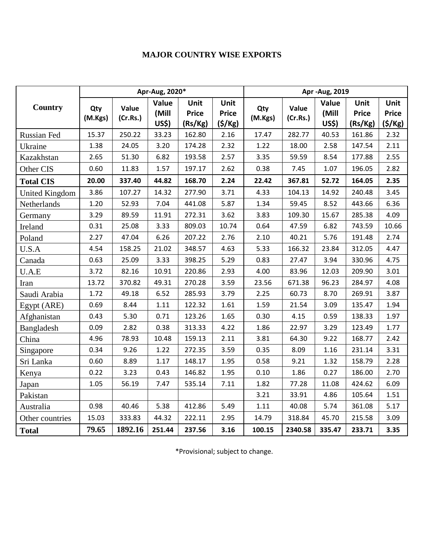| <b>Country</b>        | Apr-Aug, 2020* |                   |                                |                                 |                                | Apr - Aug, 2019 |                   |                                |                                 |                                |
|-----------------------|----------------|-------------------|--------------------------------|---------------------------------|--------------------------------|-----------------|-------------------|--------------------------------|---------------------------------|--------------------------------|
|                       | Qty<br>(M.Kgs) | Value<br>(Cr.Rs.) | Value<br>(Mill<br><b>US\$)</b> | Unit<br><b>Price</b><br>(Rs/Kg) | Unit<br><b>Price</b><br>(5/Kg) | Qty<br>(M.Kgs)  | Value<br>(Cr.Rs.) | Value<br>(Mill<br><b>US\$)</b> | Unit<br><b>Price</b><br>(Rs/Kg) | Unit<br><b>Price</b><br>(S/Kg) |
| Russian Fed           | 15.37          | 250.22            | 33.23                          | 162.80                          | 2.16                           | 17.47           | 282.77            | 40.53                          | 161.86                          | 2.32                           |
| Ukraine               | 1.38           | 24.05             | 3.20                           | 174.28                          | 2.32                           | 1.22            | 18.00             | 2.58                           | 147.54                          | 2.11                           |
| Kazakhstan            | 2.65           | 51.30             | 6.82                           | 193.58                          | 2.57                           | 3.35            | 59.59             | 8.54                           | 177.88                          | 2.55                           |
| Other CIS             | 0.60           | 11.83             | 1.57                           | 197.17                          | 2.62                           | 0.38            | 7.45              | 1.07                           | 196.05                          | 2.82                           |
| <b>Total CIS</b>      | 20.00          | 337.40            | 44.82                          | 168.70                          | 2.24                           | 22.42           | 367.81            | 52.72                          | 164.05                          | 2.35                           |
| <b>United Kingdom</b> | 3.86           | 107.27            | 14.32                          | 277.90                          | 3.71                           | 4.33            | 104.13            | 14.92                          | 240.48                          | 3.45                           |
| Netherlands           | 1.20           | 52.93             | 7.04                           | 441.08                          | 5.87                           | 1.34            | 59.45             | 8.52                           | 443.66                          | 6.36                           |
| Germany               | 3.29           | 89.59             | 11.91                          | 272.31                          | 3.62                           | 3.83            | 109.30            | 15.67                          | 285.38                          | 4.09                           |
| Ireland               | 0.31           | 25.08             | 3.33                           | 809.03                          | 10.74                          | 0.64            | 47.59             | 6.82                           | 743.59                          | 10.66                          |
| Poland                | 2.27           | 47.04             | 6.26                           | 207.22                          | 2.76                           | 2.10            | 40.21             | 5.76                           | 191.48                          | 2.74                           |
| U.S.A                 | 4.54           | 158.25            | 21.02                          | 348.57                          | 4.63                           | 5.33            | 166.32            | 23.84                          | 312.05                          | 4.47                           |
| Canada                | 0.63           | 25.09             | 3.33                           | 398.25                          | 5.29                           | 0.83            | 27.47             | 3.94                           | 330.96                          | 4.75                           |
| U.A.E                 | 3.72           | 82.16             | 10.91                          | 220.86                          | 2.93                           | 4.00            | 83.96             | 12.03                          | 209.90                          | 3.01                           |
| Iran                  | 13.72          | 370.82            | 49.31                          | 270.28                          | 3.59                           | 23.56           | 671.38            | 96.23                          | 284.97                          | 4.08                           |
| Saudi Arabia          | 1.72           | 49.18             | 6.52                           | 285.93                          | 3.79                           | 2.25            | 60.73             | 8.70                           | 269.91                          | 3.87                           |
| Egypt (ARE)           | 0.69           | 8.44              | $1.11\,$                       | 122.32                          | 1.61                           | 1.59            | 21.54             | 3.09                           | 135.47                          | 1.94                           |
| Afghanistan           | 0.43           | 5.30              | 0.71                           | 123.26                          | 1.65                           | 0.30            | 4.15              | 0.59                           | 138.33                          | 1.97                           |
| Bangladesh            | 0.09           | 2.82              | 0.38                           | 313.33                          | 4.22                           | 1.86            | 22.97             | 3.29                           | 123.49                          | 1.77                           |
| China                 | 4.96           | 78.93             | 10.48                          | 159.13                          | 2.11                           | 3.81            | 64.30             | 9.22                           | 168.77                          | 2.42                           |
| Singapore             | 0.34           | 9.26              | 1.22                           | 272.35                          | 3.59                           | 0.35            | 8.09              | 1.16                           | 231.14                          | 3.31                           |
| Sri Lanka             | 0.60           | 8.89              | 1.17                           | 148.17                          | 1.95                           | 0.58            | 9.21              | 1.32                           | 158.79                          | 2.28                           |
| Kenya                 | 0.22           | 3.23              | 0.43                           | 146.82                          | 1.95                           | 0.10            | 1.86              | 0.27                           | 186.00                          | 2.70                           |
| Japan                 | 1.05           | 56.19             | 7.47                           | 535.14                          | 7.11                           | 1.82            | 77.28             | 11.08                          | 424.62                          | 6.09                           |
| Pakistan              |                |                   |                                |                                 |                                | 3.21            | 33.91             | 4.86                           | 105.64                          | 1.51                           |
| Australia             | 0.98           | 40.46             | 5.38                           | 412.86                          | 5.49                           | 1.11            | 40.08             | 5.74                           | 361.08                          | 5.17                           |
| Other countries       | 15.03          | 333.83            | 44.32                          | 222.11                          | 2.95                           | 14.79           | 318.84            | 45.70                          | 215.58                          | 3.09                           |
| <b>Total</b>          | 79.65          | 1892.16           | 251.44                         | 237.56                          | 3.16                           | 100.15          | 2340.58           | 335.47                         | 233.71                          | 3.35                           |

\*Provisional; subject to change.